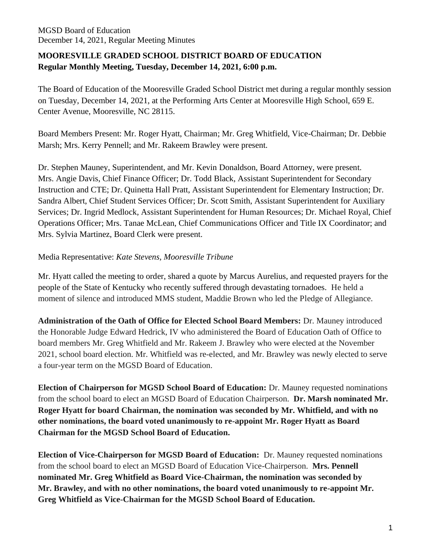# **MOORESVILLE GRADED SCHOOL DISTRICT BOARD OF EDUCATION Regular Monthly Meeting, Tuesday, December 14, 2021, 6:00 p.m.**

The Board of Education of the Mooresville Graded School District met during a regular monthly session on Tuesday, December 14, 2021, at the Performing Arts Center at Mooresville High School, 659 E. Center Avenue, Mooresville, NC 28115.

Board Members Present: Mr. Roger Hyatt, Chairman; Mr. Greg Whitfield, Vice-Chairman; Dr. Debbie Marsh; Mrs. Kerry Pennell; and Mr. Rakeem Brawley were present.

Dr. Stephen Mauney, Superintendent, and Mr. Kevin Donaldson, Board Attorney, were present. Mrs. Angie Davis, Chief Finance Officer; Dr. Todd Black, Assistant Superintendent for Secondary Instruction and CTE; Dr. Quinetta Hall Pratt, Assistant Superintendent for Elementary Instruction; Dr. Sandra Albert, Chief Student Services Officer; Dr. Scott Smith, Assistant Superintendent for Auxiliary Services; Dr. Ingrid Medlock, Assistant Superintendent for Human Resources; Dr. Michael Royal, Chief Operations Officer; Mrs. Tanae McLean, Chief Communications Officer and Title IX Coordinator; and Mrs. Sylvia Martinez, Board Clerk were present.

## Media Representative: *Kate Stevens, Mooresville Tribune*

Mr. Hyatt called the meeting to order, shared a quote by Marcus Aurelius, and requested prayers for the people of the State of Kentucky who recently suffered through devastating tornadoes. He held a moment of silence and introduced MMS student, Maddie Brown who led the Pledge of Allegiance.

**Administration of the Oath of Office for Elected School Board Members:** Dr. Mauney introduced the Honorable Judge Edward Hedrick, IV who administered the Board of Education Oath of Office to board members Mr. Greg Whitfield and Mr. Rakeem J. Brawley who were elected at the November 2021, school board election. Mr. Whitfield was re-elected, and Mr. Brawley was newly elected to serve a four-year term on the MGSD Board of Education.

**Election of Chairperson for MGSD School Board of Education:** Dr. Mauney requested nominations from the school board to elect an MGSD Board of Education Chairperson. **Dr. Marsh nominated Mr. Roger Hyatt for board Chairman, the nomination was seconded by Mr. Whitfield, and with no other nominations, the board voted unanimously to re-appoint Mr. Roger Hyatt as Board Chairman for the MGSD School Board of Education.**

**Election of Vice-Chairperson for MGSD Board of Education:** Dr. Mauney requested nominations from the school board to elect an MGSD Board of Education Vice-Chairperson. **Mrs. Pennell nominated Mr. Greg Whitfield as Board Vice-Chairman, the nomination was seconded by Mr. Brawley, and with no other nominations, the board voted unanimously to re-appoint Mr. Greg Whitfield as Vice-Chairman for the MGSD School Board of Education.**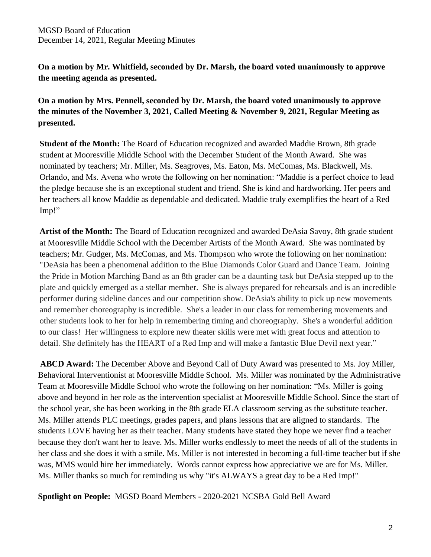**On a motion by Mr. Whitfield, seconded by Dr. Marsh, the board voted unanimously to approve the meeting agenda as presented.**

**On a motion by Mrs. Pennell, seconded by Dr. Marsh, the board voted unanimously to approve the minutes of the November 3, 2021, Called Meeting & November 9, 2021, Regular Meeting as presented.**

**Student of the Month:** The Board of Education recognized and awarded Maddie Brown, 8th grade student at Mooresville Middle School with the December Student of the Month Award. She was nominated by teachers; Mr. Miller, Ms. Seagroves, Ms. Eaton, Ms. McComas, Ms. Blackwell, Ms. Orlando, and Ms. Avena who wrote the following on her nomination: "Maddie is a perfect choice to lead the pledge because she is an exceptional student and friend. She is kind and hardworking. Her peers and her teachers all know Maddie as dependable and dedicated. Maddie truly exemplifies the heart of a Red Imp!"

**Artist of the Month:** The Board of Education recognized and awarded DeAsia Savoy, 8th grade student at Mooresville Middle School with the December Artists of the Month Award. She was nominated by teachers; Mr. Gudger, Ms. McComas, and Ms. Thompson who wrote the following on her nomination: "DeAsia has been a phenomenal addition to the Blue Diamonds Color Guard and Dance Team. Joining the Pride in Motion Marching Band as an 8th grader can be a daunting task but DeAsia stepped up to the plate and quickly emerged as a stellar member. She is always prepared for rehearsals and is an incredible performer during sideline dances and our competition show. DeAsia's ability to pick up new movements and remember choreography is incredible. She's a leader in our class for remembering movements and other students look to her for help in remembering timing and choreography. She's a wonderful addition to our class! Her willingness to explore new theater skills were met with great focus and attention to detail. She definitely has the HEART of a Red Imp and will make a fantastic Blue Devil next year."

**ABCD Award:** The December Above and Beyond Call of Duty Award was presented to Ms. Joy Miller, Behavioral Interventionist at Mooresville Middle School. Ms. Miller was nominated by the Administrative Team at Mooresville Middle School who wrote the following on her nomination: "Ms. Miller is going above and beyond in her role as the intervention specialist at Mooresville Middle School. Since the start of the school year, she has been working in the 8th grade ELA classroom serving as the substitute teacher. Ms. Miller attends PLC meetings, grades papers, and plans lessons that are aligned to standards. The students LOVE having her as their teacher. Many students have stated they hope we never find a teacher because they don't want her to leave. Ms. Miller works endlessly to meet the needs of all of the students in her class and she does it with a smile. Ms. Miller is not interested in becoming a full-time teacher but if she was, MMS would hire her immediately. Words cannot express how appreciative we are for Ms. Miller. Ms. Miller thanks so much for reminding us why "it's ALWAYS a great day to be a Red Imp!"

**Spotlight on People:** MGSD Board Members - 2020-2021 NCSBA Gold Bell Award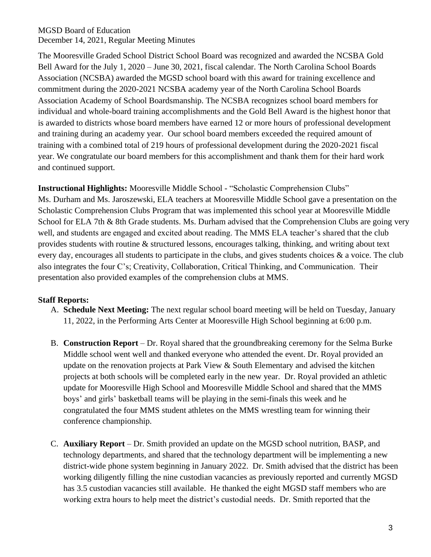The Mooresville Graded School District School Board was recognized and awarded the NCSBA Gold Bell Award for the July 1, 2020 – June 30, 2021, fiscal calendar. The North Carolina School Boards Association (NCSBA) awarded the MGSD school board with this award for training excellence and commitment during the 2020-2021 NCSBA academy year of the North Carolina School Boards Association Academy of School Boardsmanship. The NCSBA recognizes school board members for individual and whole-board training accomplishments and the Gold Bell Award is the highest honor that is awarded to districts whose board members have earned 12 or more hours of professional development and training during an academy year. Our school board members exceeded the required amount of training with a combined total of 219 hours of professional development during the 2020-2021 fiscal year. We congratulate our board members for this accomplishment and thank them for their hard work and continued support.

**Instructional Highlights:** Mooresville Middle School - "Scholastic Comprehension Clubs" Ms. Durham and Ms. Jaroszewski, ELA teachers at Mooresville Middle School gave a presentation on the Scholastic Comprehension Clubs Program that was implemented this school year at Mooresville Middle School for ELA 7th & 8th Grade students. Ms. Durham advised that the Comprehension Clubs are going very well, and students are engaged and excited about reading. The MMS ELA teacher's shared that the club provides students with routine & structured lessons, encourages talking, thinking, and writing about text every day, encourages all students to participate in the clubs, and gives students choices & a voice. The club also integrates the four C's; Creativity, Collaboration, Critical Thinking, and Communication. Their presentation also provided examples of the comprehension clubs at MMS.

## **Staff Reports:**

- A. **Schedule Next Meeting:** The next regular school board meeting will be held on Tuesday, January 11, 2022, in the Performing Arts Center at Mooresville High School beginning at 6:00 p.m.
- B. **Construction Report**  Dr. Royal shared that the groundbreaking ceremony for the Selma Burke Middle school went well and thanked everyone who attended the event. Dr. Royal provided an update on the renovation projects at Park View & South Elementary and advised the kitchen projects at both schools will be completed early in the new year. Dr. Royal provided an athletic update for Mooresville High School and Mooresville Middle School and shared that the MMS boys' and girls' basketball teams will be playing in the semi-finals this week and he congratulated the four MMS student athletes on the MMS wrestling team for winning their conference championship.
- C. **Auxiliary Report**  Dr. Smith provided an update on the MGSD school nutrition, BASP, and technology departments, and shared that the technology department will be implementing a new district-wide phone system beginning in January 2022. Dr. Smith advised that the district has been working diligently filling the nine custodian vacancies as previously reported and currently MGSD has 3.5 custodian vacancies still available. He thanked the eight MGSD staff members who are working extra hours to help meet the district's custodial needs. Dr. Smith reported that the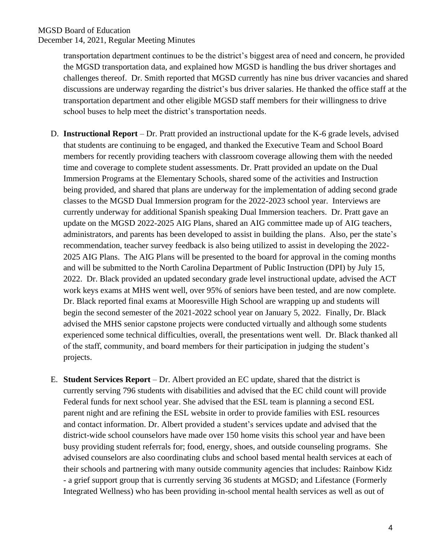transportation department continues to be the district's biggest area of need and concern, he provided the MGSD transportation data, and explained how MGSD is handling the bus driver shortages and challenges thereof. Dr. Smith reported that MGSD currently has nine bus driver vacancies and shared discussions are underway regarding the district's bus driver salaries. He thanked the office staff at the transportation department and other eligible MGSD staff members for their willingness to drive school buses to help meet the district's transportation needs.

- D. **Instructional Report**  Dr. Pratt provided an instructional update for the K-6 grade levels, advised that students are continuing to be engaged, and thanked the Executive Team and School Board members for recently providing teachers with classroom coverage allowing them with the needed time and coverage to complete student assessments. Dr. Pratt provided an update on the Dual Immersion Programs at the Elementary Schools, shared some of the activities and Instruction being provided, and shared that plans are underway for the implementation of adding second grade classes to the MGSD Dual Immersion program for the 2022-2023 school year. Interviews are currently underway for additional Spanish speaking Dual Immersion teachers. Dr. Pratt gave an update on the MGSD 2022-2025 AIG Plans, shared an AIG committee made up of AIG teachers, administrators, and parents has been developed to assist in building the plans. Also, per the state's recommendation, teacher survey feedback is also being utilized to assist in developing the 2022- 2025 AIG Plans. The AIG Plans will be presented to the board for approval in the coming months and will be submitted to the North Carolina Department of Public Instruction (DPI) by July 15, 2022. Dr. Black provided an updated secondary grade level instructional update, advised the ACT work keys exams at MHS went well, over 95% of seniors have been tested, and are now complete. Dr. Black reported final exams at Mooresville High School are wrapping up and students will begin the second semester of the 2021-2022 school year on January 5, 2022. Finally, Dr. Black advised the MHS senior capstone projects were conducted virtually and although some students experienced some technical difficulties, overall, the presentations went well. Dr. Black thanked all of the staff, community, and board members for their participation in judging the student's projects.
- E. **Student Services Report**  Dr. Albert provided an EC update, shared that the district is currently serving 796 students with disabilities and advised that the EC child count will provide Federal funds for next school year. She advised that the ESL team is planning a second ESL parent night and are refining the ESL website in order to provide families with ESL resources and contact information. Dr. Albert provided a student's services update and advised that the district-wide school counselors have made over 150 home visits this school year and have been busy providing student referrals for; food, energy, shoes, and outside counseling programs. She advised counselors are also coordinating clubs and school based mental health services at each of their schools and partnering with many outside community agencies that includes: Rainbow Kidz - a grief support group that is currently serving 36 students at MGSD; and Lifestance (Formerly Integrated Wellness) who has been providing in-school mental health services as well as out of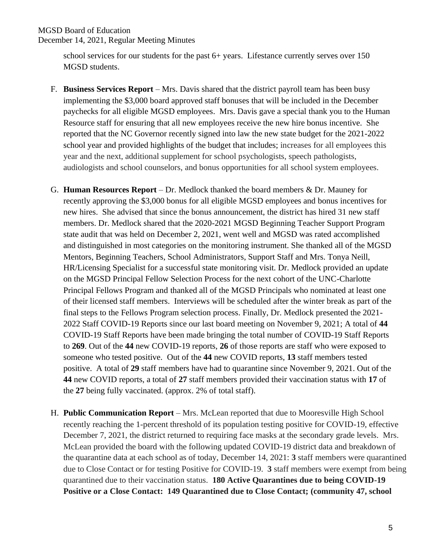school services for our students for the past 6+ years. Lifestance currently serves over 150 MGSD students.

- F. **Business Services Report** Mrs. Davis shared that the district payroll team has been busy implementing the \$3,000 board approved staff bonuses that will be included in the December paychecks for all eligible MGSD employees. Mrs. Davis gave a special thank you to the Human Resource staff for ensuring that all new employees receive the new hire bonus incentive. She reported that the NC Governor recently signed into law the new state budget for the 2021-2022 school year and provided highlights of the budget that includes; increases for all employees this year and the next, additional supplement for school psychologists, speech pathologists, audiologists and school counselors, and bonus opportunities for all school system employees.
- G. **Human Resources Report**  Dr. Medlock thanked the board members & Dr. Mauney for recently approving the \$3,000 bonus for all eligible MGSD employees and bonus incentives for new hires. She advised that since the bonus announcement, the district has hired 31 new staff members. Dr. Medlock shared that the 2020-2021 MGSD Beginning Teacher Support Program state audit that was held on December 2, 2021, went well and MGSD was rated accomplished and distinguished in most categories on the monitoring instrument. She thanked all of the MGSD Mentors, Beginning Teachers, School Administrators, Support Staff and Mrs. Tonya Neill, HR/Licensing Specialist for a successful state monitoring visit. Dr. Medlock provided an update on the MGSD Principal Fellow Selection Process for the next cohort of the UNC-Charlotte Principal Fellows Program and thanked all of the MGSD Principals who nominated at least one of their licensed staff members. Interviews will be scheduled after the winter break as part of the final steps to the Fellows Program selection process. Finally, Dr. Medlock presented the 2021- 2022 Staff COVID-19 Reports since our last board meeting on November 9, 2021; A total of **44** COVID-19 Staff Reports have been made bringing the total number of COVID-19 Staff Reports to **269**. Out of the **44** new COVID-19 reports, **26** of those reports are staff who were exposed to someone who tested positive. Out of the **44** new COVID reports, **13** staff members tested positive. A total of **29** staff members have had to quarantine since November 9, 2021. Out of the **44** new COVID reports, a total of **27** staff members provided their vaccination status with **17** of the **27** being fully vaccinated. (approx. 2% of total staff).
- H. **Public Communication Report** Mrs. McLean reported that due to Mooresville High School recently reaching the 1-percent threshold of its population testing positive for COVID-19, effective December 7, 2021, the district returned to requiring face masks at the secondary grade levels.Mrs. McLean provided the board with the following updated COVID-19 district data and breakdown of the quarantine data at each school as of today, December 14, 2021: **3** staff members were quarantined due to Close Contact or for testing Positive for COVID-19. **3** staff members were exempt from being quarantined due to their vaccination status. **180 Active Quarantines due to being COVID-19 Positive or a Close Contact: 149 Quarantined due to Close Contact; (community 47, school**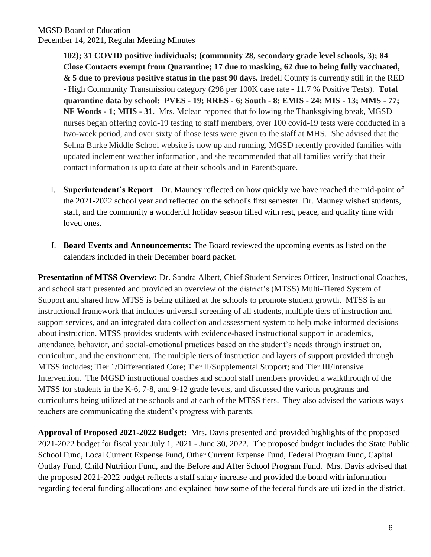**102); 31 COVID positive individuals; (community 28, secondary grade level schools, 3); 84 Close Contacts exempt from Quarantine; 17 due to masking, 62 due to being fully vaccinated, & 5 due to previous positive status in the past 90 days.** Iredell County is currently still in the RED - High Community Transmission category (298 per 100K case rate - 11.7 % Positive Tests). **Total quarantine data by school: PVES - 19; RRES - 6; South - 8; EMIS - 24; MIS - 13; MMS - 77; NF Woods - 1; MHS - 31.** Mrs. Mclean reported that following the Thanksgiving break, MGSD nurses began offering covid-19 testing to staff members, over 100 covid-19 tests were conducted in a two-week period, and over sixty of those tests were given to the staff at MHS. She advised that the Selma Burke Middle School website is now up and running, MGSD recently provided families with updated inclement weather information, and she recommended that all families verify that their contact information is up to date at their schools and in ParentSquare.

- I. **Superintendent's Report**  Dr. Mauney reflected on how quickly we have reached the mid-point of the 2021-2022 school year and reflected on the school's first semester. Dr. Mauney wished students, staff, and the community a wonderful holiday season filled with rest, peace, and quality time with loved ones.
- J. **Board Events and Announcements:** The Board reviewed the upcoming events as listed on the calendars included in their December board packet.

**Presentation of MTSS Overview:** Dr. Sandra Albert, Chief Student Services Officer, Instructional Coaches, and school staff presented and provided an overview of the district's (MTSS) Multi-Tiered System of Support and shared how MTSS is being utilized at the schools to promote student growth. MTSS is an instructional framework that includes universal screening of all students, multiple tiers of instruction and support services, and an integrated data collection and assessment system to help make informed decisions about instruction. MTSS provides students with evidence-based instructional support in academics, attendance, behavior, and social-emotional practices based on the student's needs through instruction, curriculum, and the environment. The multiple tiers of instruction and layers of support provided through MTSS includes; Tier 1/Differentiated Core; Tier II/Supplemental Support; and Tier III/Intensive Intervention. The MGSD instructional coaches and school staff members provided a walkthrough of the MTSS for students in the K-6, 7-8, and 9-12 grade levels, and discussed the various programs and curriculums being utilized at the schools and at each of the MTSS tiers. They also advised the various ways teachers are communicating the student's progress with parents.

**Approval of Proposed 2021-2022 Budget:** Mrs. Davis presented and provided highlights of the proposed 2021-2022 budget for fiscal year July 1, 2021 - June 30, 2022. The proposed budget includes the State Public School Fund, Local Current Expense Fund, Other Current Expense Fund, Federal Program Fund, Capital Outlay Fund, Child Nutrition Fund, and the Before and After School Program Fund. Mrs. Davis advised that the proposed 2021-2022 budget reflects a staff salary increase and provided the board with information regarding federal funding allocations and explained how some of the federal funds are utilized in the district.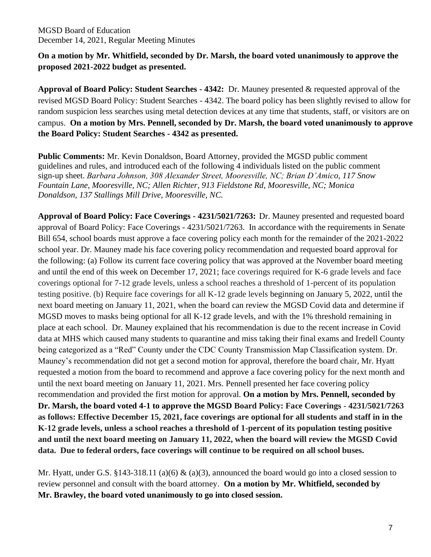## **On a motion by Mr. Whitfield, seconded by Dr. Marsh, the board voted unanimously to approve the proposed 2021-2022 budget as presented.**

**Approval of Board Policy: Student Searches - 4342:** Dr. Mauney presented & requested approval of the revised MGSD Board Policy: Student Searches - 4342. The board policy has been slightly revised to allow for random suspicion less searches using metal detection devices at any time that students, staff, or visitors are on campus. **On a motion by Mrs. Pennell, seconded by Dr. Marsh, the board voted unanimously to approve the Board Policy: Student Searches - 4342 as presented.** 

**Public Comments:** Mr. Kevin Donaldson, Board Attorney, provided the MGSD public comment guidelines and rules, and introduced each of the following 4 individuals listed on the public comment sign-up sheet. *Barbara Johnson, 308 Alexander Street, Mooresville, NC; Brian D'Amico, 117 Snow Fountain Lane, Mooresville, NC; Allen Richter, 913 Fieldstone Rd, Mooresville, NC; Monica Donaldson, 137 Stallings Mill Drive, Mooresville, NC.*

**Approval of Board Policy: Face Coverings - 4231/5021/7263:** Dr. Mauney presented and requested board approval of Board Policy: Face Coverings - 4231/5021/7263. In accordance with the requirements in Senate Bill 654, school boards must approve a face covering policy each month for the remainder of the 2021-2022 school year. Dr. Mauney made his face covering policy recommendation and requested board approval for the following: (a) Follow its current face covering policy that was approved at the November board meeting and until the end of this week on December 17, 2021; face coverings required for K-6 grade levels and face coverings optional for 7-12 grade levels, unless a school reaches a threshold of 1-percent of its population testing positive. (b) Require face coverings for all K-12 grade levels beginning on January 5, 2022, until the next board meeting on January 11, 2021, when the board can review the MGSD Covid data and determine if MGSD moves to masks being optional for all K-12 grade levels, and with the 1% threshold remaining in place at each school. Dr. Mauney explained that his recommendation is due to the recent increase in Covid data at MHS which caused many students to quarantine and miss taking their final exams and Iredell County being categorized as a "Red" County under the CDC County Transmission Map Classification system. Dr. Mauney's recommendation did not get a second motion for approval, therefore the board chair, Mr. Hyatt requested a motion from the board to recommend and approve a face covering policy for the next month and until the next board meeting on January 11, 2021. Mrs. Pennell presented her face covering policy recommendation and provided the first motion for approval. **On a motion by Mrs. Pennell, seconded by Dr. Marsh, the board voted 4-1 to approve the MGSD Board Policy: Face Coverings - 4231/5021/7263 as follows: Effective December 15, 2021, face coverings are optional for all students and staff in in the K-12 grade levels, unless a school reaches a threshold of 1-percent of its population testing positive and until the next board meeting on January 11, 2022, when the board will review the MGSD Covid data. Due to federal orders, face coverings will continue to be required on all school buses.**

Mr. Hyatt, under G.S. §143-318.11 (a)(6) & (a)(3), announced the board would go into a closed session to review personnel and consult with the board attorney. **On a motion by Mr. Whitfield, seconded by Mr. Brawley, the board voted unanimously to go into closed session.**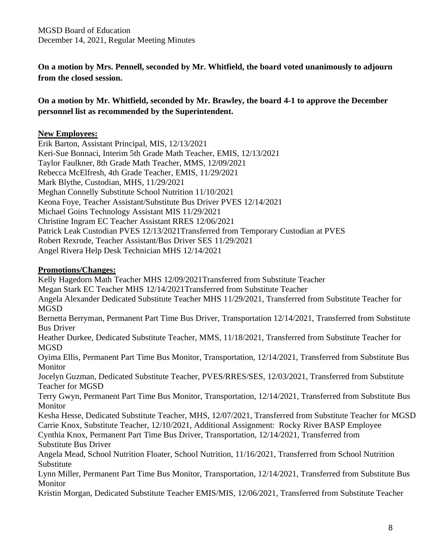**On a motion by Mrs. Pennell, seconded by Mr. Whitfield, the board voted unanimously to adjourn from the closed session.**

**On a motion by Mr. Whitfield, seconded by Mr. Brawley, the board 4-1 to approve the December personnel list as recommended by the Superintendent.**

### **New Employees:**

Erik Barton, Assistant Principal, MIS, 12/13/2021 Keri-Sue Bonnaci, Interim 5th Grade Math Teacher, EMIS, 12/13/2021 Taylor Faulkner, 8th Grade Math Teacher, MMS, 12/09/2021 Rebecca McElfresh, 4th Grade Teacher, EMIS, 11/29/2021 Mark Blythe, Custodian, MHS, 11/29/2021 Meghan Connelly Substitute School Nutrition 11/10/2021 Keona Foye, Teacher Assistant/Substitute Bus Driver PVES 12/14/2021 Michael Goins Technology Assistant MIS 11/29/2021 Christine Ingram EC Teacher Assistant RRES 12/06/2021 Patrick Leak Custodian PVES 12/13/2021Transferred from Temporary Custodian at PVES Robert Rexrode, Teacher Assistant/Bus Driver SES 11/29/2021 Angel Rivera Help Desk Technician MHS 12/14/2021

#### **Promotions/Changes:**

Kelly Hagedorn Math Teacher MHS 12/09/2021Transferred from Substitute Teacher Megan Stark EC Teacher MHS 12/14/2021Transferred from Substitute Teacher Angela Alexander Dedicated Substitute Teacher MHS 11/29/2021, Transferred from Substitute Teacher for MGSD Bernetta Berryman, Permanent Part Time Bus Driver, Transportation 12/14/2021, Transferred from Substitute Bus Driver Heather Durkee, Dedicated Substitute Teacher, MMS, 11/18/2021, Transferred from Substitute Teacher for **MGSD** Oyima Ellis, Permanent Part Time Bus Monitor, Transportation, 12/14/2021, Transferred from Substitute Bus Monitor Jocelyn Guzman, Dedicated Substitute Teacher, PVES/RRES/SES, 12/03/2021, Transferred from Substitute Teacher for MGSD Terry Gwyn, Permanent Part Time Bus Monitor, Transportation, 12/14/2021, Transferred from Substitute Bus Monitor Kesha Hesse, Dedicated Substitute Teacher, MHS, 12/07/2021, Transferred from Substitute Teacher for MGSD Carrie Knox, Substitute Teacher, 12/10/2021, Additional Assignment: Rocky River BASP Employee Cynthia Knox, Permanent Part Time Bus Driver, Transportation, 12/14/2021, Transferred from Substitute Bus Driver Angela Mead, School Nutrition Floater, School Nutrition, 11/16/2021, Transferred from School Nutrition Substitute Lynn Miller, Permanent Part Time Bus Monitor, Transportation, 12/14/2021, Transferred from Substitute Bus Monitor Kristin Morgan, Dedicated Substitute Teacher EMIS/MIS, 12/06/2021, Transferred from Substitute Teacher